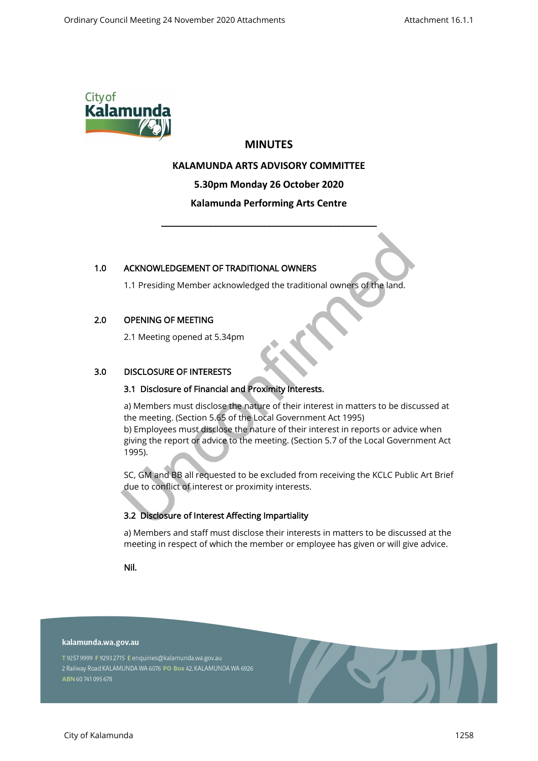

# **MINUTES**

## **KALAMUNDA ARTS ADVISORY COMMITTEE**

**5.30pm Monday 26 October 2020**

## **Kalamunda Performing Arts Centre**

\_\_\_\_\_\_\_\_\_\_\_\_\_\_\_\_\_\_\_\_\_\_\_\_\_\_\_\_\_\_\_\_\_\_\_\_\_\_\_\_\_\_\_\_\_\_\_\_\_\_\_\_

#### 1.0 ACKNOWLEDGEMENT OF TRADITIONAL OWNERS

1.1 Presiding Member acknowledged the traditional owners of the land.

## 2.0 OPENING OF MEETING

2.1 Meeting opened at 5.34pm

## 3.0 DISCLOSURE OF INTERESTS

#### 3.1 Disclosure of Financial and Proximity Interests.

a) Members must disclose the nature of their interest in matters to be discussed at the meeting. (Section 5.65 of the Local Government Act 1995) b) Employees must disclose the nature of their interest in reports or advice when giving the report or advice to the meeting. (Section 5.7 of the Local Government Act 1995). ACKNOWLEDGEMENT OF TRADITIONAL OWNERS<br>
1.1 Presiding Member acknowledged the traditional owners of the land.<br>
OPENING OF MEETING<br>
2.1 Meeting opened at 5.34pm<br>
DISCLOSURE OF INTERESTS<br>
3.1 Disclosure of Financial and Proxi

SC, GM and BB all requested to be excluded from receiving the KCLC Public Art Brief due to conflict of interest or proximity interests.

## 3.2 Disclosure of Interest Affecting Impartiality

a) Members and staff must disclose their interests in matters to be discussed at the meeting in respect of which the member or employee has given or will give advice.

Nil.

#### kalamunda.wa.gov.au

T 9257 9999 F 9293 2715 E enquiries@kalamunda.wa.gov.au 2 Railway Road KALAMUNDA WA 6076 PO Box 42, KALAMUNDA WA 6926 ABN 60741095678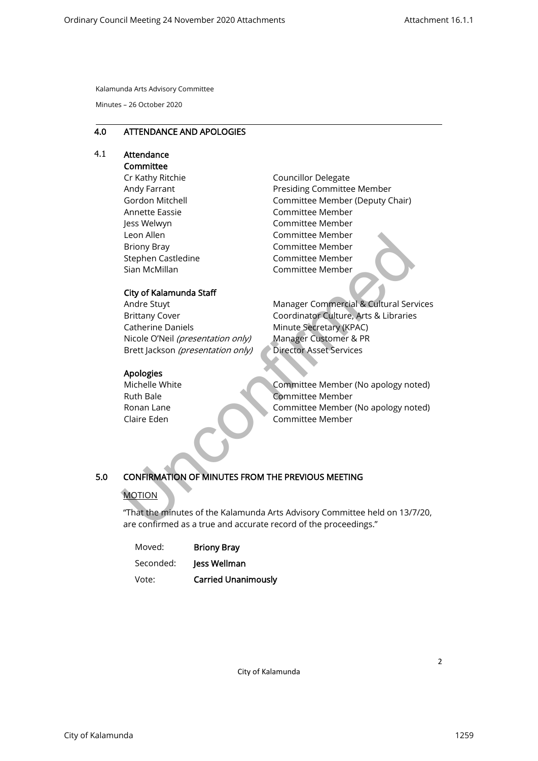Minutes – 26 October 2020

#### 4.0 ATTENDANCE AND APOLOGIES

#### 4.1 Attendance **Committee**

Cr Kathy Ritchie Andy Farrant Gordon Mitchell Annette Eassie Jess Welwyn Leon Allen Briony Bray Stephen Castledine Sian McMillan

## City of Kalamunda Staff

Andre Stuyt Brittany Cover Catherine Daniels Nicole O'Neil (presentation only) Brett Jackson (presentation only)

#### Apologies

Michelle White Ruth Bale Ronan Lane Claire Eden

Councillor Delegate Presiding Committee Member Committee Member (Deputy Chair) Committee Member Committee Member Committee Member Committee Member Committee Member Committee Member

Manager Commercial & Cultural Services Coordinator Culture, Arts & Libraries Minute Secretary (KPAC) Manager Customer & PR Director Asset Services Leon Allen<br>
Strong Bray<br>
Stephen Castledine<br>
Sian McMillan<br>
Committee Member<br>
City of Kalamunda Staff<br>
Andre Stuyt<br>
City of Kalamunda Staff<br>
Andre Stuyt<br>
Nanager Committee Member<br>
Nicole ONeil (presentation only)<br>
Manager

Committee Member (No apology noted) Committee Member Committee Member (No apology noted) Committee Member

## 5.0 CONFIRMATION OF MINUTES FROM THE PREVIOUS MEETING

## MOTION

"That the minutes of the Kalamunda Arts Advisory Committee held on 13/7/20, are confirmed as a true and accurate record of the proceedings."

| Moved:    | <b>Briony Bray</b>         |
|-----------|----------------------------|
| Seconded: | Jess Wellman               |
| Vote:     | <b>Carried Unanimously</b> |

City of Kalamunda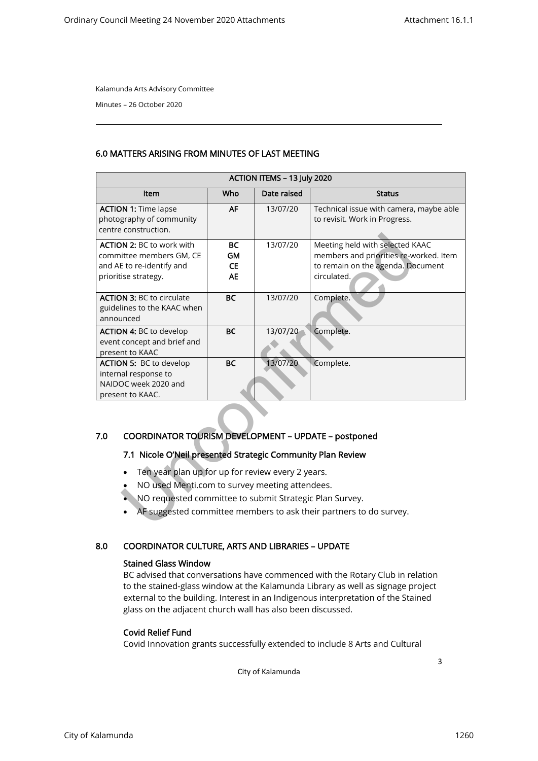Minutes – 26 October 2020

## 6.0 MATTERS ARISING FROM MINUTES OF LAST MEETING

| ACTION ITEMS - 13 July 2020                                                                                                                                                                                                                                                                                                                                        |                                                  |             |                                                                                                                               |  |  |  |  |
|--------------------------------------------------------------------------------------------------------------------------------------------------------------------------------------------------------------------------------------------------------------------------------------------------------------------------------------------------------------------|--------------------------------------------------|-------------|-------------------------------------------------------------------------------------------------------------------------------|--|--|--|--|
| Item                                                                                                                                                                                                                                                                                                                                                               | Who                                              | Date raised | <b>Status</b>                                                                                                                 |  |  |  |  |
| <b>ACTION 1: Time lapse</b><br>photography of community<br>centre construction.                                                                                                                                                                                                                                                                                    | <b>AF</b>                                        | 13/07/20    | Technical issue with camera, maybe able<br>to revisit. Work in Progress.                                                      |  |  |  |  |
| <b>ACTION 2: BC to work with</b><br>committee members GM, CE<br>and AE to re-identify and<br>prioritise strategy.                                                                                                                                                                                                                                                  | <b>BC</b><br><b>GM</b><br><b>CE</b><br><b>AE</b> | 13/07/20    | Meeting held with selected KAAC<br>members and priorities re-worked. Item<br>to remain on the agenda. Document<br>circulated. |  |  |  |  |
| <b>ACTION 3: BC to circulate</b><br>guidelines to the KAAC when<br>announced                                                                                                                                                                                                                                                                                       | <b>BC</b>                                        | 13/07/20    | Complete.                                                                                                                     |  |  |  |  |
| <b>ACTION 4: BC to develop</b><br>event concept and brief and<br>present to KAAC                                                                                                                                                                                                                                                                                   | <b>BC</b>                                        | 13/07/20    | Complete.                                                                                                                     |  |  |  |  |
| <b>ACTION 5: BC to develop</b><br>internal response to<br>NAIDOC week 2020 and<br>present to KAAC.                                                                                                                                                                                                                                                                 | <b>BC</b>                                        | 13/07/20    | Complete.                                                                                                                     |  |  |  |  |
| COORDINATOR TOURISM DEVELOPMENT - UPDATE - postponed<br>7.0<br>7.1 Nicole O'Neil presented Strategic Community Plan Review<br>Ten year plan up for up for review every 2 years.<br>NO used Menti.com to survey meeting attendees.<br>NO requested committee to submit Strategic Plan Survey.<br>AF suggested committee members to ask their partners to do survey. |                                                  |             |                                                                                                                               |  |  |  |  |

## 7.0 COORDINATOR TOURISM DEVELOPMENT – UPDATE – postponed

## 7.1 Nicole O'Neil presented Strategic Community Plan Review

- Ten year plan up for up for review every 2 years.
- NO used Menti.com to survey meeting attendees.
- NO requested committee to submit Strategic Plan Survey.
- AF suggested committee members to ask their partners to do survey.

## 8.0 COORDINATOR CULTURE, ARTS AND LIBRARIES – UPDATE

## Stained Glass Window

BC advised that conversations have commenced with the Rotary Club in relation to the stained-glass window at the Kalamunda Library as well as signage project external to the building. Interest in an Indigenous interpretation of the Stained glass on the adjacent church wall has also been discussed.

## Covid Relief Fund

Covid Innovation grants successfully extended to include 8 Arts and Cultural

City of Kalamunda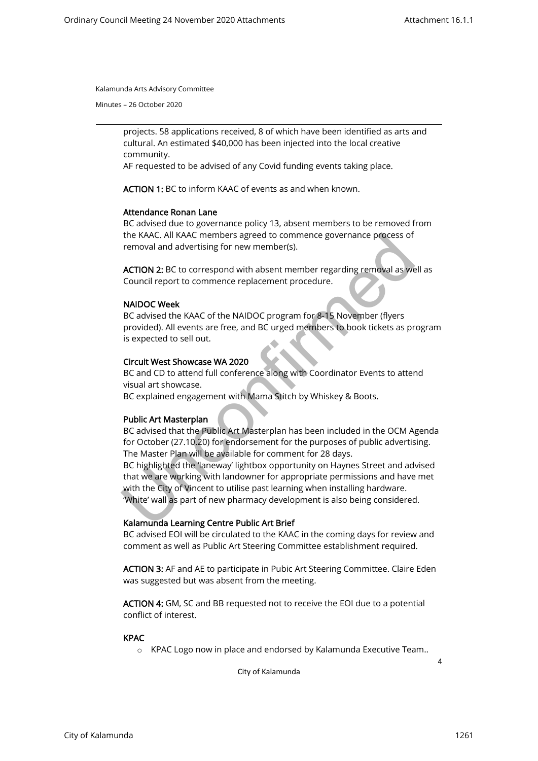Minutes – 26 October 2020

projects. 58 applications received, 8 of which have been identified as arts and cultural. An estimated \$40,000 has been injected into the local creative community.

AF requested to be advised of any Covid funding events taking place.

ACTION 1: BC to inform KAAC of events as and when known.

#### Attendance Ronan Lane

BC advised due to governance policy 13, absent members to be removed from the KAAC. All KAAC members agreed to commence governance process of removal and advertising for new member(s).

ACTION 2: BC to correspond with absent member regarding removal as well as Council report to commence replacement procedure.

#### NAIDOC Week

BC advised the KAAC of the NAIDOC program for 8-15 November (flyers provided). All events are free, and BC urged members to book tickets as program is expected to sell out.

#### Circuit West Showcase WA 2020

BC and CD to attend full conference along with Coordinator Events to attend visual art showcase.

BC explained engagement with Mama Stitch by Whiskey & Boots.

#### Public Art Masterplan

BC advised that the Public Art Masterplan has been included in the OCM Agenda for October (27.10.20) for endorsement for the purposes of public advertising. The Master Plan will be available for comment for 28 days.

BC highlighted the 'laneway' lightbox opportunity on Haynes Street and advised that we are working with landowner for appropriate permissions and have met with the City of Vincent to utilise past learning when installing hardware. 'White' wall as part of new pharmacy development is also being considered. the KAAC. All KAAC members agreed to commence governance process of<br>removal and advertising for new member(s).<br>ACTION 2: BC to correspond with absent member regarding removal as we<br>Council report to commence replacement pr

#### Kalamunda Learning Centre Public Art Brief

BC advised EOI will be circulated to the KAAC in the coming days for review and comment as well as Public Art Steering Committee establishment required.

ACTION 3: AF and AE to participate in Pubic Art Steering Committee. Claire Eden was suggested but was absent from the meeting.

ACTION 4: GM, SC and BB requested not to receive the EOI due to a potential conflict of interest.

#### KPAC

o KPAC Logo now in place and endorsed by Kalamunda Executive Team..

City of Kalamunda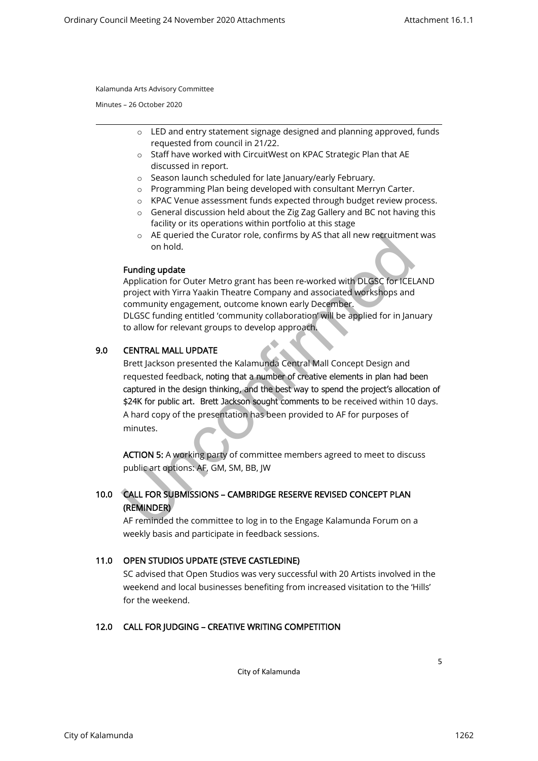Minutes – 26 October 2020

- o LED and entry statement signage designed and planning approved, funds requested from council in 21/22.
- o Staff have worked with CircuitWest on KPAC Strategic Plan that AE discussed in report.
- o Season launch scheduled for late January/early February.
- o Programming Plan being developed with consultant Merryn Carter.
- o KPAC Venue assessment funds expected through budget review process.
- o General discussion held about the Zig Zag Gallery and BC not having this facility or its operations within portfolio at this stage
- $\circ$  AE queried the Curator role, confirms by AS that all new recruitment was on hold.

#### Funding update

Application for Outer Metro grant has been re-worked with DLGSC for ICELAND project with Yirra Yaakin Theatre Company and associated workshops and community engagement, outcome known early December. DLGSC funding entitled 'community collaboration' will be applied for in January to allow for relevant groups to develop approach.

## 9.0 CENTRAL MALL UPDATE

Brett Jackson presented the Kalamunda Central Mall Concept Design and requested feedback, noting that a number of creative elements in plan had been captured in the design thinking, and the best way to spend the project's allocation of \$24K for public art. Brett Jackson sought comments to be received within 10 days. A hard copy of the presentation has been provided to AF for purposes of minutes. <sup>o</sup> AE queried the Curator role, confirms by AS that all new recruitmen<br>on hold.<br>**Funding update**<br>project with Yura Yaakin Theatre Company and associated workshops and<br>project with Yura Yaakin Theatre Company and associate

ACTION 5: A working party of committee members agreed to meet to discuss public art options: AF, GM, SM, BB, JW

# 10.0 CALL FOR SUBMISSIONS – CAMBRIDGE RESERVE REVISED CONCEPT PLAN (REMINDER)

AF reminded the committee to log in to the Engage Kalamunda Forum on a weekly basis and participate in feedback sessions.

## 11.0 OPEN STUDIOS UPDATE (STEVE CASTLEDINE)

SC advised that Open Studios was very successful with 20 Artists involved in the weekend and local businesses benefiting from increased visitation to the 'Hills' for the weekend.

## 12.0 CALL FOR JUDGING – CREATIVE WRITING COMPETITION

City of Kalamunda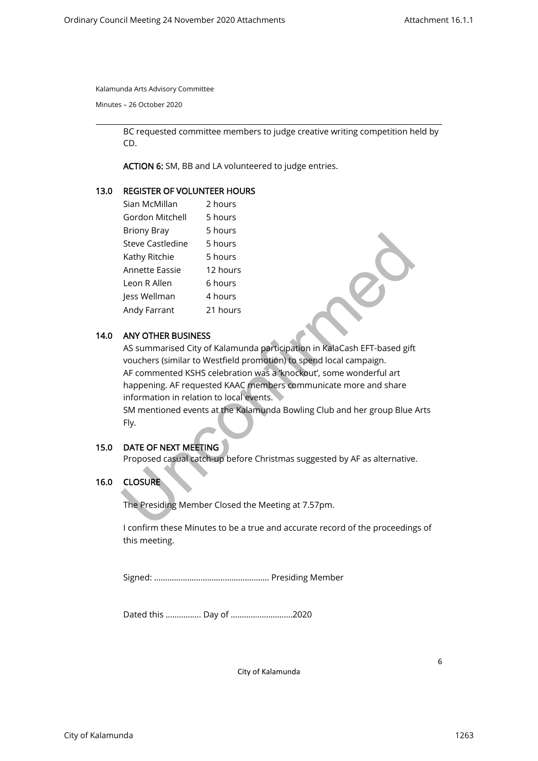Minutes – 26 October 2020

BC requested committee members to judge creative writing competition held by CD.

ACTION 6: SM, BB and LA volunteered to judge entries.

#### 13.0 REGISTER OF VOLUNTEER HOURS

| Sian McMillan           | 2 hours  |
|-------------------------|----------|
| Gordon Mitchell         | 5 hours  |
| <b>Briony Bray</b>      | 5 hours  |
| <b>Steve Castledine</b> | 5 hours  |
| Kathy Ritchie           | 5 hours  |
| <b>Annette Eassie</b>   | 12 hours |
| Leon R Allen            | 6 hours  |
| Jess Wellman            | 4 hours  |
| Andy Farrant            | 21 hours |

#### 14.0 ANY OTHER BUSINESS

AS summarised City of Kalamunda participation in KalaCash EFT-based gift vouchers (similar to Westfield promotion) to spend local campaign. AF commented KSHS celebration was a 'knockout', some wonderful art happening. AF requested KAAC members communicate more and share information in relation to local events. Steve Castledine<br>
Steve Castledine<br>
Shours<br>
Annette Eassie<br>
12 hours<br>
Leon R Allen<br>
6 hours<br>
Andy Farrant<br>
21 hours<br>
Andy Farrant<br>
21 hours<br>
ANY OTHER BUSINESS<br>
AS summarised City of Kalamunda participation in KalaCash EFT

SM mentioned events at the Kalamunda Bowling Club and her group Blue Arts Fly.

## 15.0 DATE OF NEXT MEETING

Proposed casual catch-up before Christmas suggested by AF as alternative.

## 16.0 CLOSURE

The Presiding Member Closed the Meeting at 7.57pm.

I confirm these Minutes to be a true and accurate record of the proceedings of this meeting.

Signed: ……………………………………………. Presiding Member

Dated this ……………. Day of ……………………….2020

City of Kalamunda